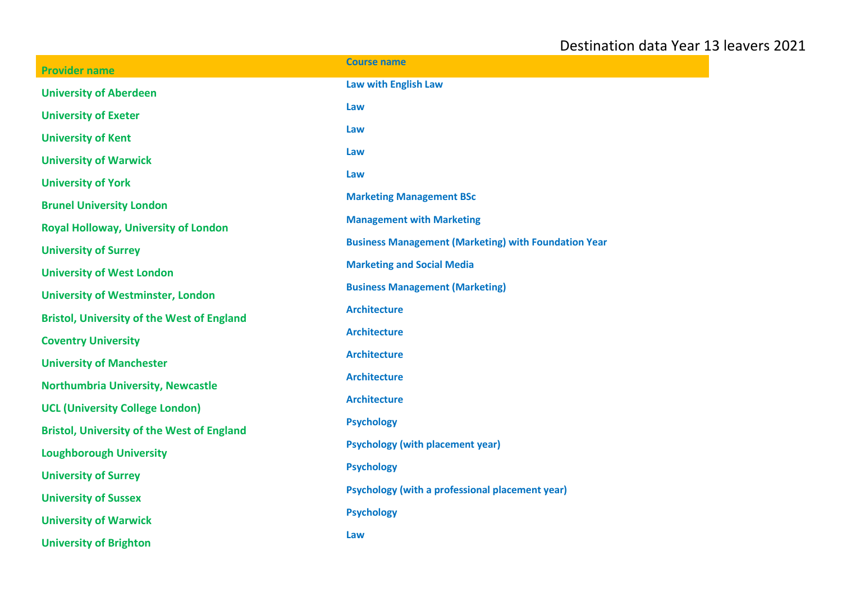| <b>Provider name</b>                              | <b>Course name</b>                                          |
|---------------------------------------------------|-------------------------------------------------------------|
| <b>University of Aberdeen</b>                     | Law with English Law                                        |
| <b>University of Exeter</b>                       | Law                                                         |
| <b>University of Kent</b>                         | Law                                                         |
| <b>University of Warwick</b>                      | Law                                                         |
| <b>University of York</b>                         | Law                                                         |
| <b>Brunel University London</b>                   | <b>Marketing Management BSc</b>                             |
| <b>Royal Holloway, University of London</b>       | <b>Management with Marketing</b>                            |
| <b>University of Surrey</b>                       | <b>Business Management (Marketing) with Foundation Year</b> |
| <b>University of West London</b>                  | <b>Marketing and Social Media</b>                           |
| <b>University of Westminster, London</b>          | <b>Business Management (Marketing)</b>                      |
| <b>Bristol, University of the West of England</b> | <b>Architecture</b>                                         |
| <b>Coventry University</b>                        | <b>Architecture</b>                                         |
| <b>University of Manchester</b>                   | <b>Architecture</b>                                         |
| Northumbria University, Newcastle                 | <b>Architecture</b>                                         |
| <b>UCL (University College London)</b>            | <b>Architecture</b>                                         |
| <b>Bristol, University of the West of England</b> | <b>Psychology</b>                                           |
| <b>Loughborough University</b>                    | <b>Psychology (with placement year)</b>                     |
| <b>University of Surrey</b>                       | <b>Psychology</b>                                           |
| <b>University of Sussex</b>                       | <b>Psychology (with a professional placement year)</b>      |
| <b>University of Warwick</b>                      | <b>Psychology</b>                                           |
| <b>University of Brighton</b>                     | Law                                                         |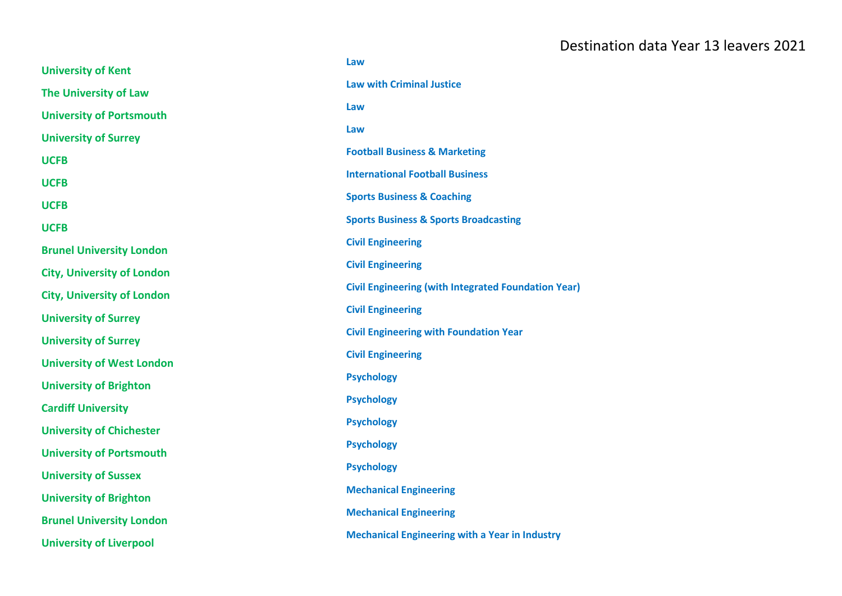|                                   | Law                                                        |
|-----------------------------------|------------------------------------------------------------|
| <b>University of Kent</b>         | <b>Law with Criminal Justice</b>                           |
| <b>The University of Law</b>      |                                                            |
| <b>University of Portsmouth</b>   | Law                                                        |
| <b>University of Surrey</b>       | Law                                                        |
| <b>UCFB</b>                       | <b>Football Business &amp; Marketing</b>                   |
| <b>UCFB</b>                       | <b>International Football Business</b>                     |
| <b>UCFB</b>                       | <b>Sports Business &amp; Coaching</b>                      |
| <b>UCFB</b>                       | <b>Sports Business &amp; Sports Broadcasting</b>           |
| <b>Brunel University London</b>   | <b>Civil Engineering</b>                                   |
| <b>City, University of London</b> | <b>Civil Engineering</b>                                   |
| <b>City, University of London</b> | <b>Civil Engineering (with Integrated Foundation Year)</b> |
| <b>University of Surrey</b>       | <b>Civil Engineering</b>                                   |
| <b>University of Surrey</b>       | <b>Civil Engineering with Foundation Year</b>              |
| <b>University of West London</b>  | <b>Civil Engineering</b>                                   |
| <b>University of Brighton</b>     | <b>Psychology</b>                                          |
| <b>Cardiff University</b>         | <b>Psychology</b>                                          |
| <b>University of Chichester</b>   | <b>Psychology</b>                                          |
| <b>University of Portsmouth</b>   | <b>Psychology</b>                                          |
| <b>University of Sussex</b>       | <b>Psychology</b>                                          |
| <b>University of Brighton</b>     | <b>Mechanical Engineering</b>                              |
| <b>Brunel University London</b>   | <b>Mechanical Engineering</b>                              |
| <b>University of Liverpool</b>    | <b>Mechanical Engineering with a Year in Industry</b>      |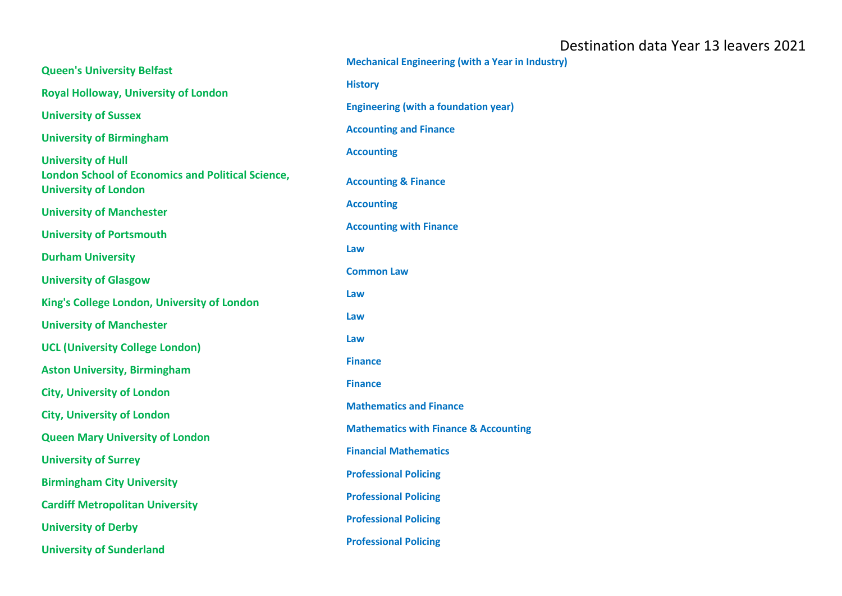| <b>Queen's University Belfast</b>                                                       | <b>Mechanical Engineering (with a Year in Industry)</b> |
|-----------------------------------------------------------------------------------------|---------------------------------------------------------|
|                                                                                         | <b>History</b>                                          |
| <b>Royal Holloway, University of London</b>                                             |                                                         |
| <b>University of Sussex</b>                                                             | <b>Engineering (with a foundation year)</b>             |
| <b>University of Birmingham</b>                                                         | <b>Accounting and Finance</b>                           |
| <b>University of Hull</b>                                                               | <b>Accounting</b>                                       |
| <b>London School of Economics and Political Science,</b><br><b>University of London</b> | <b>Accounting &amp; Finance</b>                         |
| <b>University of Manchester</b>                                                         | <b>Accounting</b>                                       |
| <b>University of Portsmouth</b>                                                         | <b>Accounting with Finance</b>                          |
|                                                                                         | Law                                                     |
| <b>Durham University</b>                                                                | <b>Common Law</b>                                       |
| <b>University of Glasgow</b>                                                            |                                                         |
| King's College London, University of London                                             | Law                                                     |
| <b>University of Manchester</b>                                                         | Law                                                     |
| <b>UCL (University College London)</b>                                                  | Law                                                     |
| <b>Aston University, Birmingham</b>                                                     | <b>Finance</b>                                          |
| <b>City, University of London</b>                                                       | <b>Finance</b>                                          |
| <b>City, University of London</b>                                                       | <b>Mathematics and Finance</b>                          |
| <b>Queen Mary University of London</b>                                                  | <b>Mathematics with Finance &amp; Accounting</b>        |
| <b>University of Surrey</b>                                                             | <b>Financial Mathematics</b>                            |
| <b>Birmingham City University</b>                                                       | <b>Professional Policing</b>                            |
|                                                                                         | <b>Professional Policing</b>                            |
| <b>Cardiff Metropolitan University</b>                                                  | <b>Professional Policing</b>                            |
| <b>University of Derby</b>                                                              |                                                         |
| <b>University of Sunderland</b>                                                         | <b>Professional Policing</b>                            |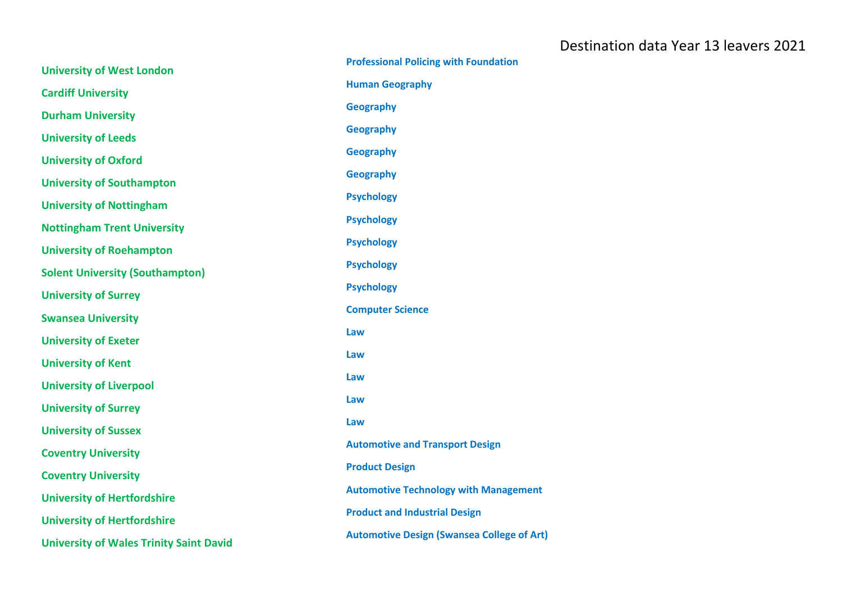| <b>University of West London</b>               | <b>Professional Policing with Foundation</b>      |
|------------------------------------------------|---------------------------------------------------|
| <b>Cardiff University</b>                      | <b>Human Geography</b>                            |
| <b>Durham University</b>                       | <b>Geography</b>                                  |
| <b>University of Leeds</b>                     | <b>Geography</b>                                  |
| <b>University of Oxford</b>                    | <b>Geography</b>                                  |
| <b>University of Southampton</b>               | <b>Geography</b>                                  |
| <b>University of Nottingham</b>                | <b>Psychology</b>                                 |
|                                                | <b>Psychology</b>                                 |
| <b>Nottingham Trent University</b>             | <b>Psychology</b>                                 |
| <b>University of Roehampton</b>                | <b>Psychology</b>                                 |
| <b>Solent University (Southampton)</b>         | <b>Psychology</b>                                 |
| <b>University of Surrey</b>                    | <b>Computer Science</b>                           |
| <b>Swansea University</b>                      | Law                                               |
| <b>University of Exeter</b>                    |                                                   |
| <b>University of Kent</b>                      | Law                                               |
| <b>University of Liverpool</b>                 | Law                                               |
| <b>University of Surrey</b>                    | Law                                               |
| <b>University of Sussex</b>                    | Law                                               |
| <b>Coventry University</b>                     | <b>Automotive and Transport Design</b>            |
| <b>Coventry University</b>                     | <b>Product Design</b>                             |
| <b>University of Hertfordshire</b>             | <b>Automotive Technology with Management</b>      |
| <b>University of Hertfordshire</b>             | <b>Product and Industrial Design</b>              |
| <b>University of Wales Trinity Saint David</b> | <b>Automotive Design (Swansea College of Art)</b> |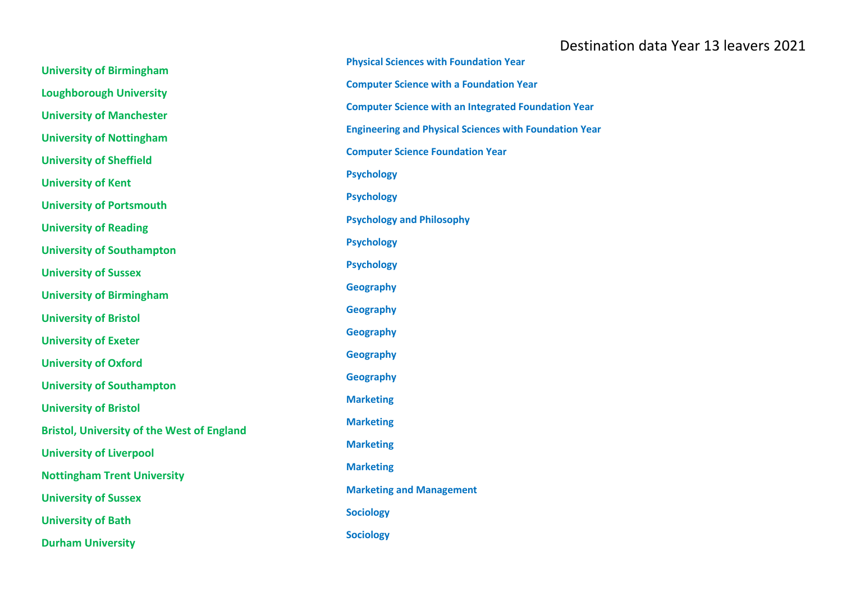| <b>University of Birmingham</b>                   | <b>Physical Sciences with Foundation Year</b>                 |
|---------------------------------------------------|---------------------------------------------------------------|
| <b>Loughborough University</b>                    | <b>Computer Science with a Foundation Year</b>                |
| <b>University of Manchester</b>                   | <b>Computer Science with an Integrated Foundation Year</b>    |
|                                                   | <b>Engineering and Physical Sciences with Foundation Year</b> |
| <b>University of Nottingham</b>                   | <b>Computer Science Foundation Year</b>                       |
| <b>University of Sheffield</b>                    | <b>Psychology</b>                                             |
| <b>University of Kent</b>                         | <b>Psychology</b>                                             |
| <b>University of Portsmouth</b>                   | <b>Psychology and Philosophy</b>                              |
| <b>University of Reading</b>                      |                                                               |
| <b>University of Southampton</b>                  | <b>Psychology</b>                                             |
| <b>University of Sussex</b>                       | <b>Psychology</b>                                             |
| <b>University of Birmingham</b>                   | <b>Geography</b>                                              |
| <b>University of Bristol</b>                      | <b>Geography</b>                                              |
| <b>University of Exeter</b>                       | <b>Geography</b>                                              |
| <b>University of Oxford</b>                       | <b>Geography</b>                                              |
| <b>University of Southampton</b>                  | <b>Geography</b>                                              |
| <b>University of Bristol</b>                      | <b>Marketing</b>                                              |
| <b>Bristol, University of the West of England</b> | <b>Marketing</b>                                              |
| <b>University of Liverpool</b>                    | <b>Marketing</b>                                              |
| <b>Nottingham Trent University</b>                | <b>Marketing</b>                                              |
|                                                   | <b>Marketing and Management</b>                               |
| <b>University of Sussex</b>                       | <b>Sociology</b>                                              |
| <b>University of Bath</b>                         | <b>Sociology</b>                                              |
| <b>Durham University</b>                          |                                                               |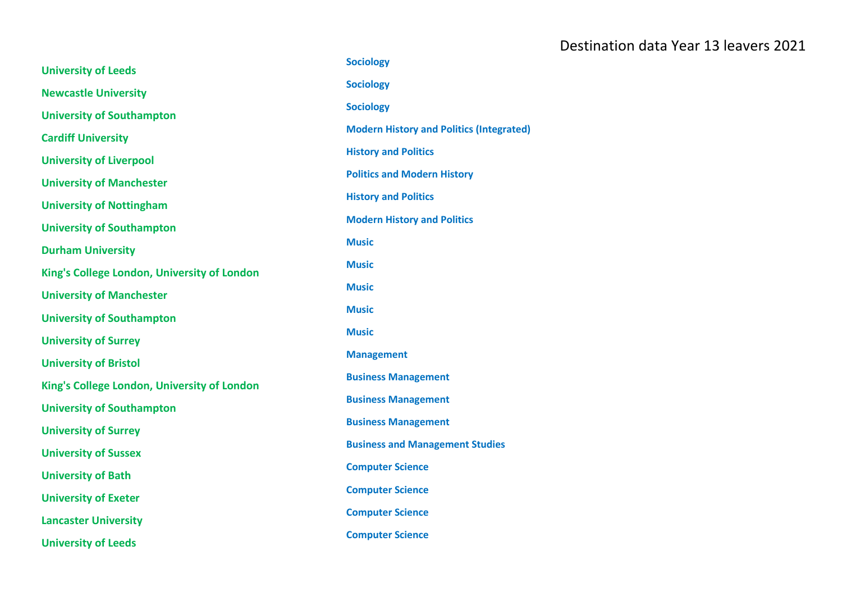|                                             | <b>Sociology</b>                                |
|---------------------------------------------|-------------------------------------------------|
| <b>University of Leeds</b>                  | <b>Sociology</b>                                |
| <b>Newcastle University</b>                 |                                                 |
| <b>University of Southampton</b>            | <b>Sociology</b>                                |
| <b>Cardiff University</b>                   | <b>Modern History and Politics (Integrated)</b> |
| <b>University of Liverpool</b>              | <b>History and Politics</b>                     |
|                                             | <b>Politics and Modern History</b>              |
| <b>University of Manchester</b>             | <b>History and Politics</b>                     |
| <b>University of Nottingham</b>             |                                                 |
| <b>University of Southampton</b>            | <b>Modern History and Politics</b>              |
| <b>Durham University</b>                    | <b>Music</b>                                    |
| King's College London, University of London | <b>Music</b>                                    |
|                                             | <b>Music</b>                                    |
| <b>University of Manchester</b>             | <b>Music</b>                                    |
| <b>University of Southampton</b>            | <b>Music</b>                                    |
| <b>University of Surrey</b>                 |                                                 |
| <b>University of Bristol</b>                | <b>Management</b>                               |
| King's College London, University of London | <b>Business Management</b>                      |
|                                             | <b>Business Management</b>                      |
| <b>University of Southampton</b>            | <b>Business Management</b>                      |
| <b>University of Surrey</b>                 | <b>Business and Management Studies</b>          |
| <b>University of Sussex</b>                 |                                                 |
| <b>University of Bath</b>                   | <b>Computer Science</b>                         |
| <b>University of Exeter</b>                 | <b>Computer Science</b>                         |
|                                             | <b>Computer Science</b>                         |
| <b>Lancaster University</b>                 | <b>Computer Science</b>                         |
| <b>University of Leeds</b>                  |                                                 |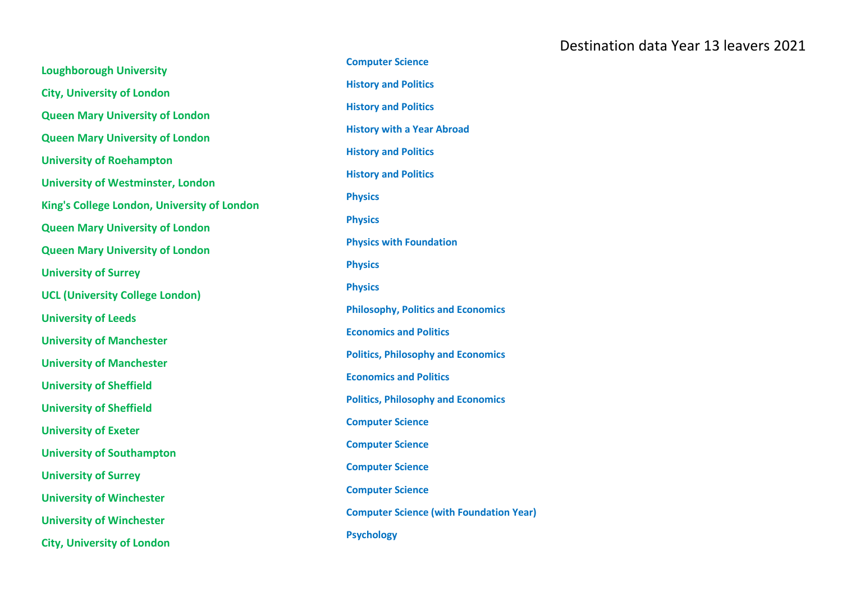**Loughborough University City, University of London Queen Mary University of London Queen Mary University of London University of Roehampton University of Westminster, London King's College London, University of London Queen Mary University of London Queen Mary University of London University of Surrey UCL (University College London) University of Leeds University of Manchester University of Manchester University of Sheffield University of Sheffield University of Exeter University of Southampton University of Surrey University of Winchester University of Winchester City, University of London**

**Computer Science History and Politics History and Politics History with a Year Abroad History and Politics History and Politics Physics Physics Physics with Foundation Physics Physics Philosophy, Politics and Economics Economics and Politics Politics, Philosophy and Economics Economics and Politics Politics, Philosophy and Economics Computer Science Computer Science Computer Science Computer Science Computer Science (with Foundation Year) Psychology**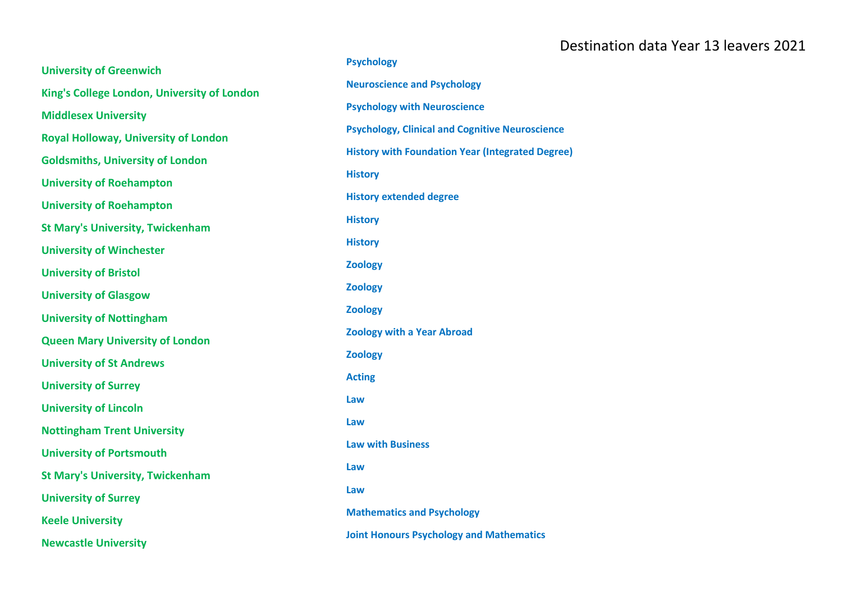| <b>University of Greenwich</b>              | <b>Psychology</b>                                       |
|---------------------------------------------|---------------------------------------------------------|
| King's College London, University of London | <b>Neuroscience and Psychology</b>                      |
| <b>Middlesex University</b>                 | <b>Psychology with Neuroscience</b>                     |
|                                             | <b>Psychology, Clinical and Cognitive Neuroscience</b>  |
| <b>Royal Holloway, University of London</b> | <b>History with Foundation Year (Integrated Degree)</b> |
| <b>Goldsmiths, University of London</b>     | <b>History</b>                                          |
| <b>University of Roehampton</b>             | <b>History extended degree</b>                          |
| <b>University of Roehampton</b>             | <b>History</b>                                          |
| <b>St Mary's University, Twickenham</b>     |                                                         |
| <b>University of Winchester</b>             | <b>History</b>                                          |
| <b>University of Bristol</b>                | <b>Zoology</b>                                          |
| <b>University of Glasgow</b>                | <b>Zoology</b>                                          |
| <b>University of Nottingham</b>             | <b>Zoology</b>                                          |
| <b>Queen Mary University of London</b>      | <b>Zoology with a Year Abroad</b>                       |
| <b>University of St Andrews</b>             | <b>Zoology</b>                                          |
| <b>University of Surrey</b>                 | <b>Acting</b>                                           |
| <b>University of Lincoln</b>                | Law                                                     |
| <b>Nottingham Trent University</b>          | Law                                                     |
| <b>University of Portsmouth</b>             | <b>Law with Business</b>                                |
| <b>St Mary's University, Twickenham</b>     | Law                                                     |
| <b>University of Surrey</b>                 | Law                                                     |
| <b>Keele University</b>                     | <b>Mathematics and Psychology</b>                       |
| <b>Newcastle University</b>                 | <b>Joint Honours Psychology and Mathematics</b>         |
|                                             |                                                         |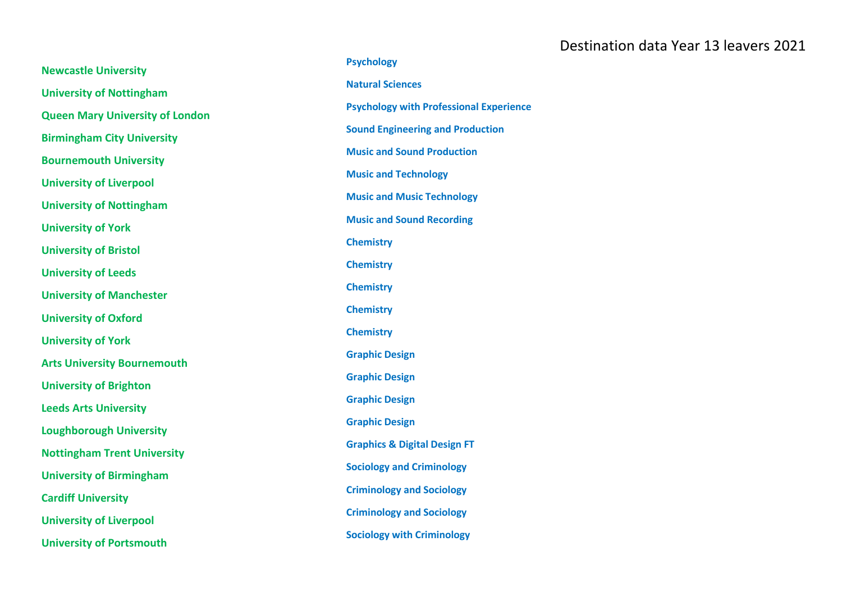|                                        | <b>Psychology</b>                              |
|----------------------------------------|------------------------------------------------|
| <b>Newcastle University</b>            |                                                |
| <b>University of Nottingham</b>        | <b>Natural Sciences</b>                        |
| <b>Queen Mary University of London</b> | <b>Psychology with Professional Experience</b> |
| <b>Birmingham City University</b>      | <b>Sound Engineering and Production</b>        |
| <b>Bournemouth University</b>          | <b>Music and Sound Production</b>              |
| <b>University of Liverpool</b>         | <b>Music and Technology</b>                    |
| <b>University of Nottingham</b>        | <b>Music and Music Technology</b>              |
| <b>University of York</b>              | <b>Music and Sound Recording</b>               |
| <b>University of Bristol</b>           | <b>Chemistry</b>                               |
| <b>University of Leeds</b>             | <b>Chemistry</b>                               |
| <b>University of Manchester</b>        | <b>Chemistry</b>                               |
|                                        | <b>Chemistry</b>                               |
| <b>University of Oxford</b>            | <b>Chemistry</b>                               |
| <b>University of York</b>              | <b>Graphic Design</b>                          |
| <b>Arts University Bournemouth</b>     | <b>Graphic Design</b>                          |
| <b>University of Brighton</b>          |                                                |
| <b>Leeds Arts University</b>           | <b>Graphic Design</b>                          |
| <b>Loughborough University</b>         | <b>Graphic Design</b>                          |
| <b>Nottingham Trent University</b>     | <b>Graphics &amp; Digital Design FT</b>        |
| <b>University of Birmingham</b>        | <b>Sociology and Criminology</b>               |
| <b>Cardiff University</b>              | <b>Criminology and Sociology</b>               |
| <b>University of Liverpool</b>         | <b>Criminology and Sociology</b>               |
| <b>University of Portsmouth</b>        | <b>Sociology with Criminology</b>              |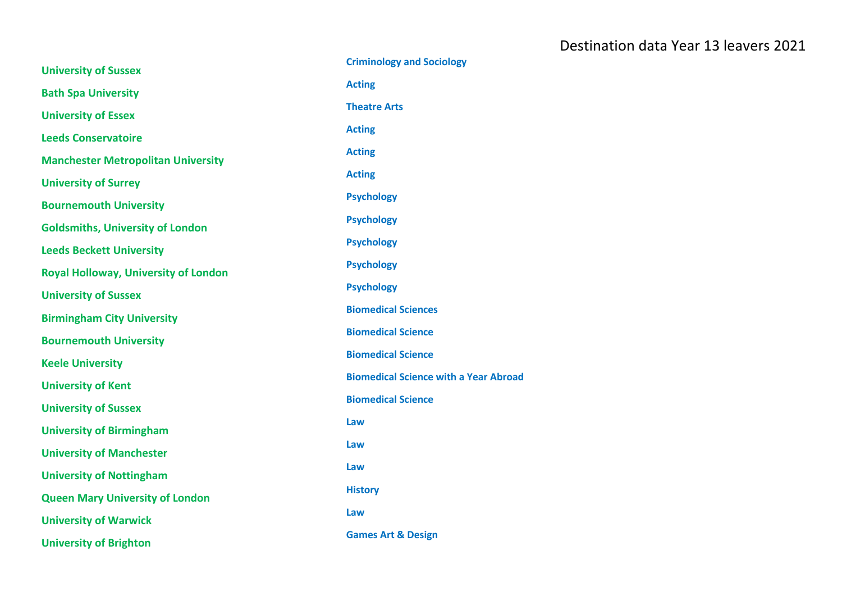| <b>University of Sussex</b>                 | <b>Criminology and Sociology</b>             |
|---------------------------------------------|----------------------------------------------|
| <b>Bath Spa University</b>                  | <b>Acting</b>                                |
| <b>University of Essex</b>                  | <b>Theatre Arts</b>                          |
| <b>Leeds Conservatoire</b>                  | <b>Acting</b>                                |
| <b>Manchester Metropolitan University</b>   | <b>Acting</b>                                |
| <b>University of Surrey</b>                 | <b>Acting</b>                                |
| <b>Bournemouth University</b>               | <b>Psychology</b>                            |
|                                             | <b>Psychology</b>                            |
| <b>Goldsmiths, University of London</b>     | <b>Psychology</b>                            |
| <b>Leeds Beckett University</b>             | <b>Psychology</b>                            |
| <b>Royal Holloway, University of London</b> | <b>Psychology</b>                            |
| <b>University of Sussex</b>                 | <b>Biomedical Sciences</b>                   |
| <b>Birmingham City University</b>           | <b>Biomedical Science</b>                    |
| <b>Bournemouth University</b>               | <b>Biomedical Science</b>                    |
| <b>Keele University</b>                     | <b>Biomedical Science with a Year Abroad</b> |
| <b>University of Kent</b>                   | <b>Biomedical Science</b>                    |
| <b>University of Sussex</b>                 |                                              |
| <b>University of Birmingham</b>             | Law                                          |
| <b>University of Manchester</b>             | Law                                          |
| <b>University of Nottingham</b>             | Law                                          |
| <b>Queen Mary University of London</b>      | <b>History</b>                               |
| <b>University of Warwick</b>                | Law                                          |
| <b>University of Brighton</b>               | <b>Games Art &amp; Design</b>                |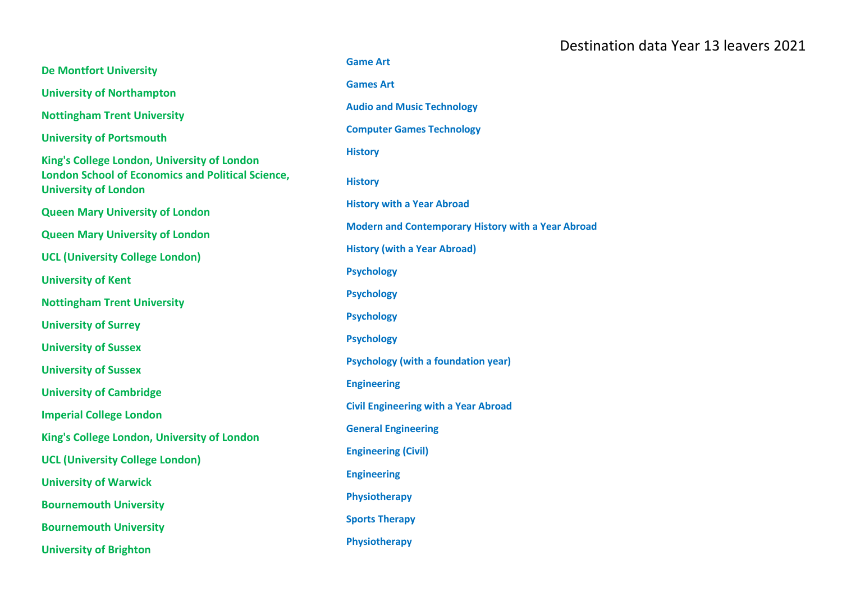|                                                                                         | <b>Game Art</b>                                    |
|-----------------------------------------------------------------------------------------|----------------------------------------------------|
| <b>De Montfort University</b>                                                           |                                                    |
| <b>University of Northampton</b>                                                        | <b>Games Art</b>                                   |
| <b>Nottingham Trent University</b>                                                      | <b>Audio and Music Technology</b>                  |
| <b>University of Portsmouth</b>                                                         | <b>Computer Games Technology</b>                   |
| King's College London, University of London                                             | <b>History</b>                                     |
| <b>London School of Economics and Political Science,</b><br><b>University of London</b> | <b>History</b>                                     |
| <b>Queen Mary University of London</b>                                                  | <b>History with a Year Abroad</b>                  |
| <b>Queen Mary University of London</b>                                                  | Modern and Contemporary History with a Year Abroad |
|                                                                                         | <b>History (with a Year Abroad)</b>                |
| <b>UCL (University College London)</b>                                                  | <b>Psychology</b>                                  |
| <b>University of Kent</b>                                                               | <b>Psychology</b>                                  |
| <b>Nottingham Trent University</b>                                                      |                                                    |
| <b>University of Surrey</b>                                                             | <b>Psychology</b>                                  |
| <b>University of Sussex</b>                                                             | <b>Psychology</b>                                  |
| <b>University of Sussex</b>                                                             | <b>Psychology (with a foundation year)</b>         |
| <b>University of Cambridge</b>                                                          | <b>Engineering</b>                                 |
| <b>Imperial College London</b>                                                          | <b>Civil Engineering with a Year Abroad</b>        |
| King's College London, University of London                                             | <b>General Engineering</b>                         |
| <b>UCL (University College London)</b>                                                  | <b>Engineering (Civil)</b>                         |
|                                                                                         | <b>Engineering</b>                                 |
| <b>University of Warwick</b>                                                            | Physiotherapy                                      |
| <b>Bournemouth University</b>                                                           |                                                    |
| <b>Bournemouth University</b>                                                           | <b>Sports Therapy</b>                              |
| <b>University of Brighton</b>                                                           | Physiotherapy                                      |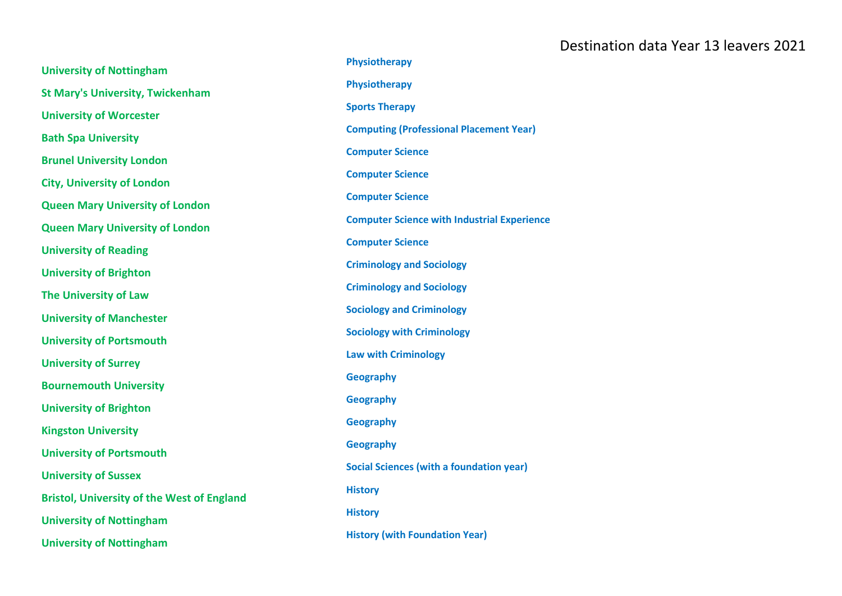| <b>University of Nottingham</b>                   | Physiotherapy                                      |
|---------------------------------------------------|----------------------------------------------------|
| <b>St Mary's University, Twickenham</b>           | Physiotherapy                                      |
| <b>University of Worcester</b>                    | <b>Sports Therapy</b>                              |
|                                                   | <b>Computing (Professional Placement Year)</b>     |
| <b>Bath Spa University</b>                        | <b>Computer Science</b>                            |
| <b>Brunel University London</b>                   | <b>Computer Science</b>                            |
| <b>City, University of London</b>                 | <b>Computer Science</b>                            |
| <b>Queen Mary University of London</b>            |                                                    |
| <b>Queen Mary University of London</b>            | <b>Computer Science with Industrial Experience</b> |
| <b>University of Reading</b>                      | <b>Computer Science</b>                            |
| <b>University of Brighton</b>                     | <b>Criminology and Sociology</b>                   |
| <b>The University of Law</b>                      | <b>Criminology and Sociology</b>                   |
| <b>University of Manchester</b>                   | <b>Sociology and Criminology</b>                   |
| <b>University of Portsmouth</b>                   | <b>Sociology with Criminology</b>                  |
|                                                   | <b>Law with Criminology</b>                        |
| <b>University of Surrey</b>                       | <b>Geography</b>                                   |
| <b>Bournemouth University</b>                     | <b>Geography</b>                                   |
| <b>University of Brighton</b>                     |                                                    |
| <b>Kingston University</b>                        | <b>Geography</b>                                   |
| <b>University of Portsmouth</b>                   | <b>Geography</b>                                   |
| <b>University of Sussex</b>                       | <b>Social Sciences (with a foundation year)</b>    |
| <b>Bristol, University of the West of England</b> | <b>History</b>                                     |
| <b>University of Nottingham</b>                   | <b>History</b>                                     |
| <b>University of Nottingham</b>                   | <b>History (with Foundation Year)</b>              |
|                                                   |                                                    |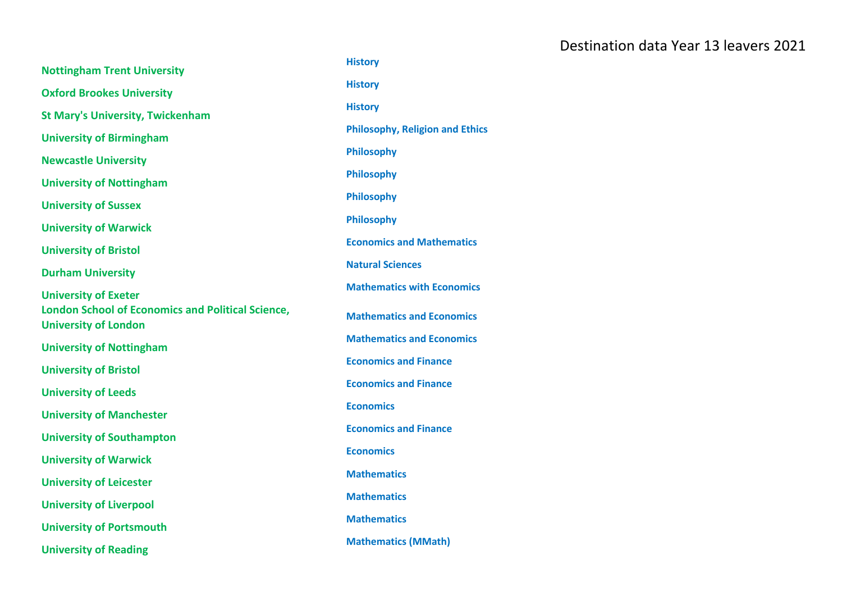| <b>Nottingham Trent University</b>                                                      | <b>History</b>                         |
|-----------------------------------------------------------------------------------------|----------------------------------------|
| <b>Oxford Brookes University</b>                                                        | <b>History</b>                         |
| <b>St Mary's University, Twickenham</b>                                                 | <b>History</b>                         |
| <b>University of Birmingham</b>                                                         | <b>Philosophy, Religion and Ethics</b> |
| <b>Newcastle University</b>                                                             | <b>Philosophy</b>                      |
|                                                                                         | <b>Philosophy</b>                      |
| <b>University of Nottingham</b>                                                         | <b>Philosophy</b>                      |
| <b>University of Sussex</b>                                                             | <b>Philosophy</b>                      |
| <b>University of Warwick</b>                                                            | <b>Economics and Mathematics</b>       |
| <b>University of Bristol</b>                                                            | <b>Natural Sciences</b>                |
| <b>Durham University</b>                                                                | <b>Mathematics with Economics</b>      |
| <b>University of Exeter</b>                                                             |                                        |
| <b>London School of Economics and Political Science,</b><br><b>University of London</b> | <b>Mathematics and Economics</b>       |
| <b>University of Nottingham</b>                                                         | <b>Mathematics and Economics</b>       |
| <b>University of Bristol</b>                                                            | <b>Economics and Finance</b>           |
| <b>University of Leeds</b>                                                              | <b>Economics and Finance</b>           |
| <b>University of Manchester</b>                                                         | <b>Economics</b>                       |
|                                                                                         | <b>Economics and Finance</b>           |
| <b>University of Southampton</b>                                                        | <b>Economics</b>                       |
| <b>University of Warwick</b>                                                            | <b>Mathematics</b>                     |
| <b>University of Leicester</b>                                                          | <b>Mathematics</b>                     |
| <b>University of Liverpool</b>                                                          | <b>Mathematics</b>                     |
| <b>University of Portsmouth</b>                                                         | <b>Mathematics (MMath)</b>             |
| <b>University of Reading</b>                                                            |                                        |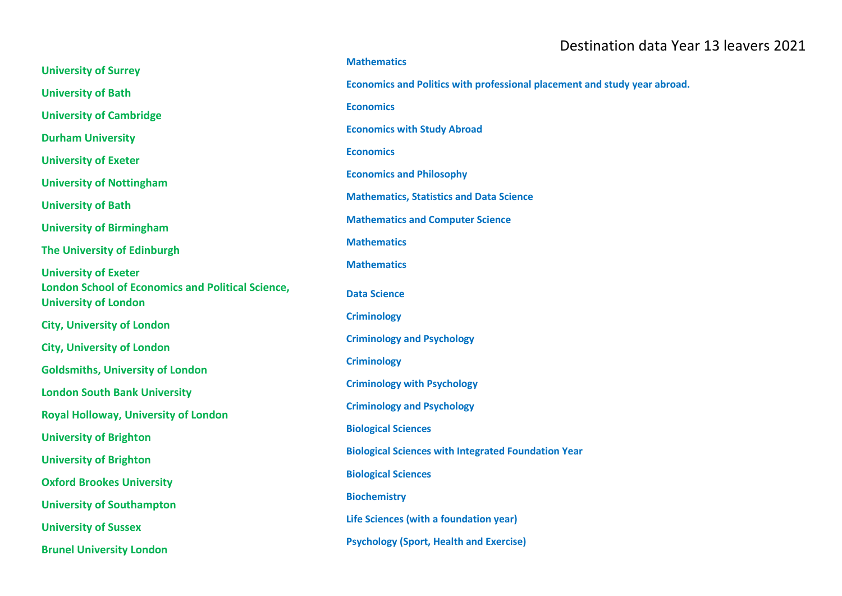| <b>University of Surrey</b>                                                             | <b>Mathematics</b>                                                        |
|-----------------------------------------------------------------------------------------|---------------------------------------------------------------------------|
| <b>University of Bath</b>                                                               | Economics and Politics with professional placement and study year abroad. |
| <b>University of Cambridge</b>                                                          | <b>Economics</b>                                                          |
| <b>Durham University</b>                                                                | <b>Economics with Study Abroad</b>                                        |
| <b>University of Exeter</b>                                                             | <b>Economics</b>                                                          |
|                                                                                         | <b>Economics and Philosophy</b>                                           |
| <b>University of Nottingham</b>                                                         | <b>Mathematics, Statistics and Data Science</b>                           |
| <b>University of Bath</b>                                                               | <b>Mathematics and Computer Science</b>                                   |
| <b>University of Birmingham</b>                                                         | <b>Mathematics</b>                                                        |
| The University of Edinburgh                                                             | <b>Mathematics</b>                                                        |
| <b>University of Exeter</b>                                                             |                                                                           |
| <b>London School of Economics and Political Science,</b><br><b>University of London</b> | <b>Data Science</b>                                                       |
| <b>City, University of London</b>                                                       | <b>Criminology</b>                                                        |
| <b>City, University of London</b>                                                       | <b>Criminology and Psychology</b>                                         |
| <b>Goldsmiths, University of London</b>                                                 | <b>Criminology</b>                                                        |
| <b>London South Bank University</b>                                                     | <b>Criminology with Psychology</b>                                        |
| <b>Royal Holloway, University of London</b>                                             | <b>Criminology and Psychology</b>                                         |
|                                                                                         | <b>Biological Sciences</b>                                                |
| <b>University of Brighton</b>                                                           | <b>Biological Sciences with Integrated Foundation Year</b>                |
| <b>University of Brighton</b>                                                           | <b>Biological Sciences</b>                                                |
| <b>Oxford Brookes University</b>                                                        | <b>Biochemistry</b>                                                       |
| <b>University of Southampton</b>                                                        | Life Sciences (with a foundation year)                                    |
| <b>University of Sussex</b>                                                             | <b>Psychology (Sport, Health and Exercise)</b>                            |
| <b>Brunel University London</b>                                                         |                                                                           |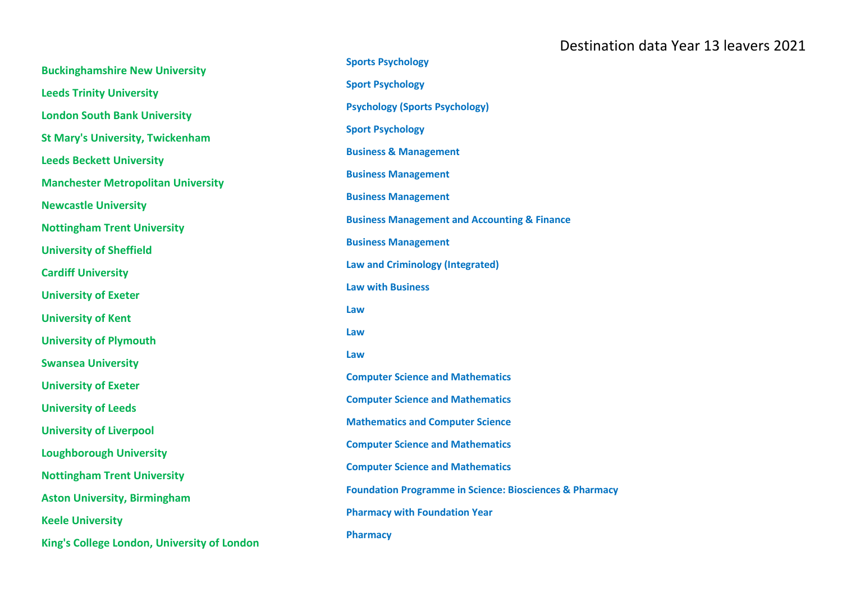| <b>Buckinghamshire New University</b>       | <b>Sports Psychology</b>                                           |
|---------------------------------------------|--------------------------------------------------------------------|
| <b>Leeds Trinity University</b>             | <b>Sport Psychology</b>                                            |
| <b>London South Bank University</b>         | <b>Psychology (Sports Psychology)</b>                              |
| <b>St Mary's University, Twickenham</b>     | <b>Sport Psychology</b>                                            |
| <b>Leeds Beckett University</b>             | <b>Business &amp; Management</b>                                   |
| <b>Manchester Metropolitan University</b>   | <b>Business Management</b>                                         |
| <b>Newcastle University</b>                 | <b>Business Management</b>                                         |
| <b>Nottingham Trent University</b>          | <b>Business Management and Accounting &amp; Finance</b>            |
| <b>University of Sheffield</b>              | <b>Business Management</b>                                         |
| <b>Cardiff University</b>                   | <b>Law and Criminology (Integrated)</b>                            |
| <b>University of Exeter</b>                 | <b>Law with Business</b>                                           |
| <b>University of Kent</b>                   | Law                                                                |
| <b>University of Plymouth</b>               | Law                                                                |
| <b>Swansea University</b>                   | Law                                                                |
| <b>University of Exeter</b>                 | <b>Computer Science and Mathematics</b>                            |
|                                             | <b>Computer Science and Mathematics</b>                            |
| <b>University of Leeds</b>                  | <b>Mathematics and Computer Science</b>                            |
| <b>University of Liverpool</b>              | <b>Computer Science and Mathematics</b>                            |
| <b>Loughborough University</b>              | <b>Computer Science and Mathematics</b>                            |
| <b>Nottingham Trent University</b>          | <b>Foundation Programme in Science: Biosciences &amp; Pharmacy</b> |
| <b>Aston University, Birmingham</b>         |                                                                    |
| <b>Keele University</b>                     | <b>Pharmacy with Foundation Year</b>                               |
| King's College London, University of London | <b>Pharmacy</b>                                                    |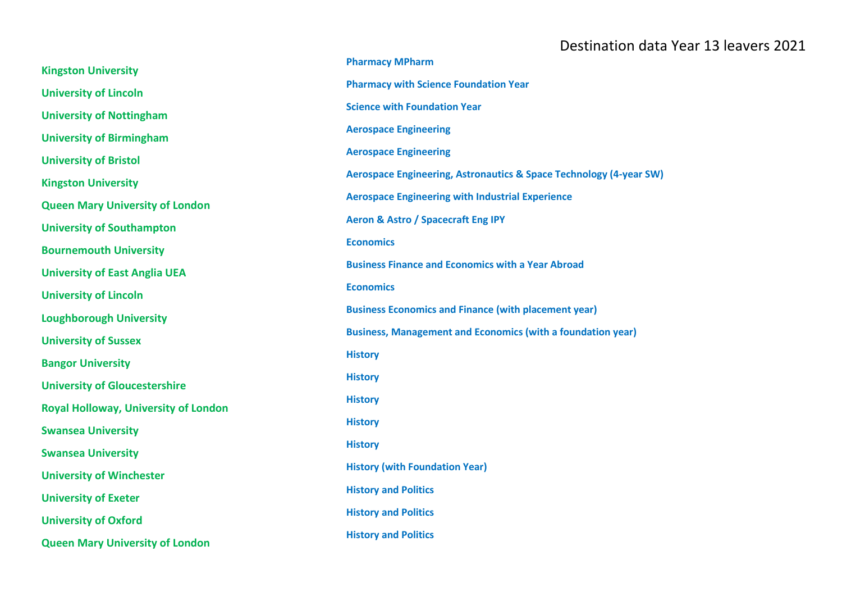| <b>Kingston University</b>                  | <b>Pharmacy MPharm</b>                                             |
|---------------------------------------------|--------------------------------------------------------------------|
| <b>University of Lincoln</b>                | <b>Pharmacy with Science Foundation Year</b>                       |
| <b>University of Nottingham</b>             | <b>Science with Foundation Year</b>                                |
| <b>University of Birmingham</b>             | <b>Aerospace Engineering</b>                                       |
| <b>University of Bristol</b>                | <b>Aerospace Engineering</b>                                       |
| <b>Kingston University</b>                  | Aerospace Engineering, Astronautics & Space Technology (4-year SW) |
| <b>Queen Mary University of London</b>      | <b>Aerospace Engineering with Industrial Experience</b>            |
| <b>University of Southampton</b>            | <b>Aeron &amp; Astro / Spacecraft Eng IPY</b>                      |
| <b>Bournemouth University</b>               | <b>Economics</b>                                                   |
| <b>University of East Anglia UEA</b>        | <b>Business Finance and Economics with a Year Abroad</b>           |
| <b>University of Lincoln</b>                | <b>Economics</b>                                                   |
| <b>Loughborough University</b>              | <b>Business Economics and Finance (with placement year)</b>        |
| <b>University of Sussex</b>                 | <b>Business, Management and Economics (with a foundation year)</b> |
| <b>Bangor University</b>                    | <b>History</b>                                                     |
| <b>University of Gloucestershire</b>        | <b>History</b>                                                     |
| <b>Royal Holloway, University of London</b> | <b>History</b>                                                     |
| <b>Swansea University</b>                   | <b>History</b>                                                     |
| <b>Swansea University</b>                   | <b>History</b>                                                     |
| <b>University of Winchester</b>             | <b>History (with Foundation Year)</b>                              |
| <b>University of Exeter</b>                 | <b>History and Politics</b>                                        |
| <b>University of Oxford</b>                 | <b>History and Politics</b>                                        |
| <b>Queen Mary University of London</b>      | <b>History and Politics</b>                                        |
|                                             |                                                                    |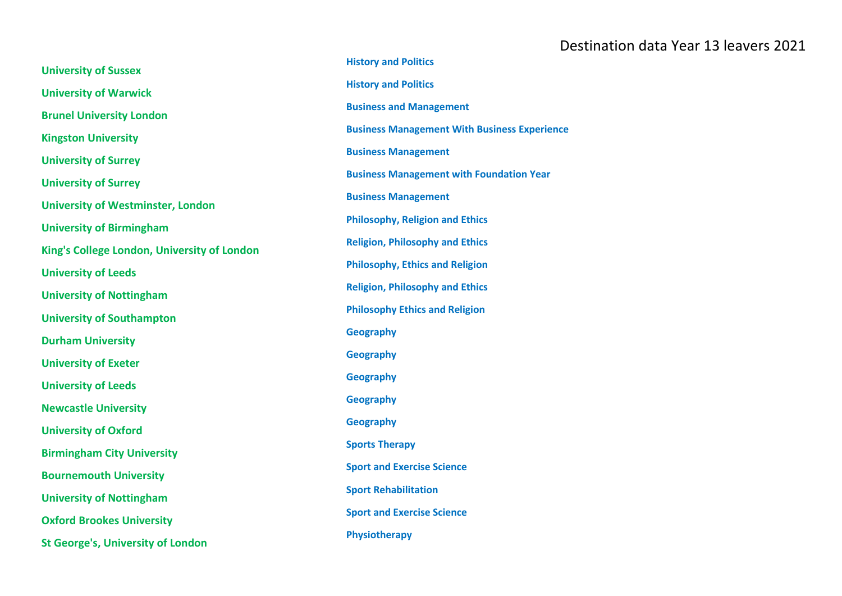|                                             | <b>History and Politics</b>                         |
|---------------------------------------------|-----------------------------------------------------|
| <b>University of Sussex</b>                 |                                                     |
| <b>University of Warwick</b>                | <b>History and Politics</b>                         |
| <b>Brunel University London</b>             | <b>Business and Management</b>                      |
| <b>Kingston University</b>                  | <b>Business Management With Business Experience</b> |
| <b>University of Surrey</b>                 | <b>Business Management</b>                          |
| <b>University of Surrey</b>                 | <b>Business Management with Foundation Year</b>     |
| <b>University of Westminster, London</b>    | <b>Business Management</b>                          |
| <b>University of Birmingham</b>             | <b>Philosophy, Religion and Ethics</b>              |
| King's College London, University of London | <b>Religion, Philosophy and Ethics</b>              |
| <b>University of Leeds</b>                  | <b>Philosophy, Ethics and Religion</b>              |
| <b>University of Nottingham</b>             | <b>Religion, Philosophy and Ethics</b>              |
| <b>University of Southampton</b>            | <b>Philosophy Ethics and Religion</b>               |
| <b>Durham University</b>                    | <b>Geography</b>                                    |
|                                             | <b>Geography</b>                                    |
| <b>University of Exeter</b>                 | <b>Geography</b>                                    |
| <b>University of Leeds</b>                  | <b>Geography</b>                                    |
| <b>Newcastle University</b>                 |                                                     |
| <b>University of Oxford</b>                 | <b>Geography</b>                                    |
| <b>Birmingham City University</b>           | <b>Sports Therapy</b>                               |
| <b>Bournemouth University</b>               | <b>Sport and Exercise Science</b>                   |
| <b>University of Nottingham</b>             | <b>Sport Rehabilitation</b>                         |
| <b>Oxford Brookes University</b>            | <b>Sport and Exercise Science</b>                   |
| <b>St George's, University of London</b>    | Physiotherapy                                       |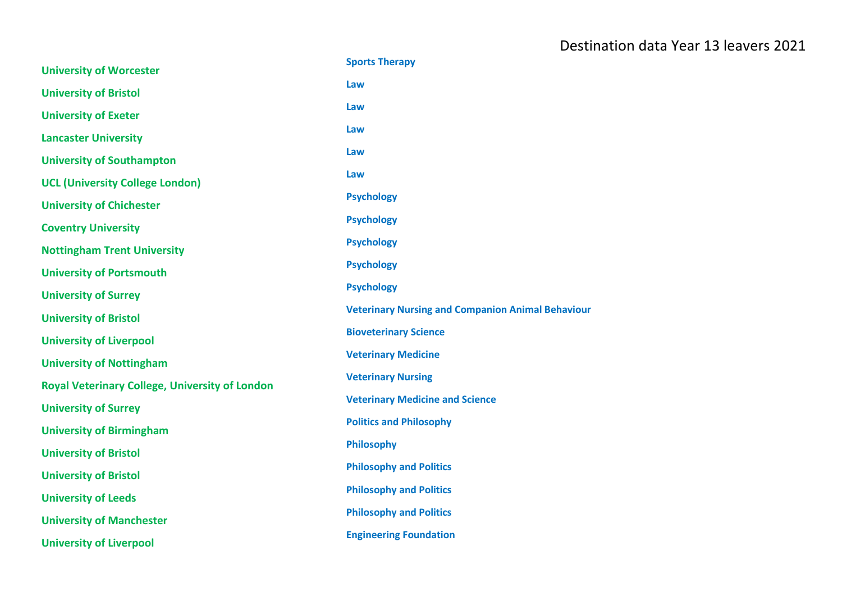|                                                       | <b>Sports Therapy</b>                                    |
|-------------------------------------------------------|----------------------------------------------------------|
| <b>University of Worcester</b>                        | Law                                                      |
| <b>University of Bristol</b>                          |                                                          |
| <b>University of Exeter</b>                           | Law                                                      |
| <b>Lancaster University</b>                           | Law                                                      |
| <b>University of Southampton</b>                      | Law                                                      |
| <b>UCL (University College London)</b>                | Law                                                      |
| <b>University of Chichester</b>                       | <b>Psychology</b>                                        |
| <b>Coventry University</b>                            | <b>Psychology</b>                                        |
| <b>Nottingham Trent University</b>                    | <b>Psychology</b>                                        |
| <b>University of Portsmouth</b>                       | <b>Psychology</b>                                        |
| <b>University of Surrey</b>                           | <b>Psychology</b>                                        |
| <b>University of Bristol</b>                          | <b>Veterinary Nursing and Companion Animal Behaviour</b> |
| <b>University of Liverpool</b>                        | <b>Bioveterinary Science</b>                             |
| <b>University of Nottingham</b>                       | <b>Veterinary Medicine</b>                               |
| <b>Royal Veterinary College, University of London</b> | <b>Veterinary Nursing</b>                                |
| <b>University of Surrey</b>                           | <b>Veterinary Medicine and Science</b>                   |
| <b>University of Birmingham</b>                       | <b>Politics and Philosophy</b>                           |
| <b>University of Bristol</b>                          | <b>Philosophy</b>                                        |
| <b>University of Bristol</b>                          | <b>Philosophy and Politics</b>                           |
| <b>University of Leeds</b>                            | <b>Philosophy and Politics</b>                           |
| <b>University of Manchester</b>                       | <b>Philosophy and Politics</b>                           |
| <b>University of Liverpool</b>                        | <b>Engineering Foundation</b>                            |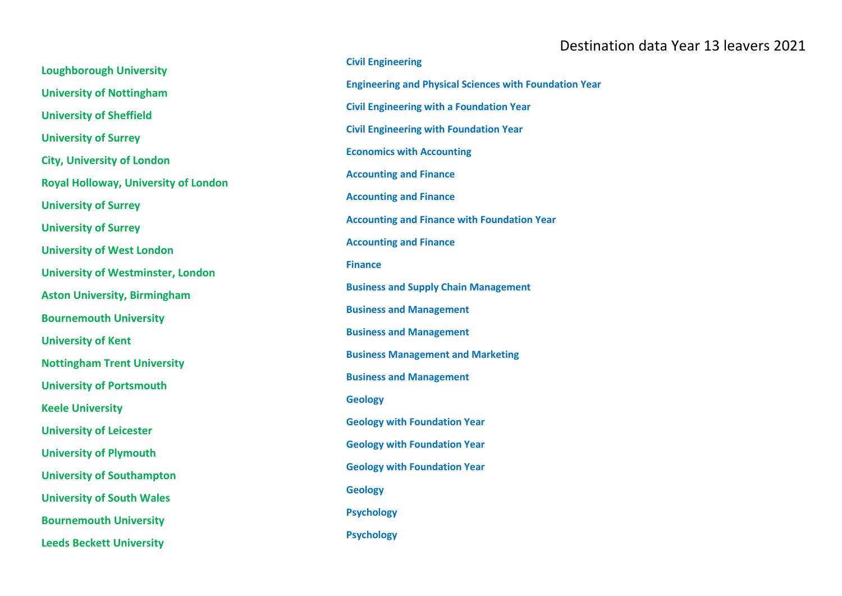**Loughborough University University of Nottingham University of Sheffield University of Surrey City, University of London Royal Holloway, University of London University of Surrey University of Surrey University of West London University of Westminster, London Aston University, Birmingham Bournemouth University University of Kent Nottingham Trent University University of Portsmouth Keele University University of Leicester University of Plymouth University of Southampton University of South Wales Bournemouth University Leeds Beckett University**

**Civil Engineering Engineering and Physical Sciences with Foundation Year Civil Engineering with a Foundation Year Civil Engineering with Foundation Year Economics with Accounting Accounting and Finance Accounting and Finance Accounting and Finance with Foundation Year Accounting and Finance Finance Business and Supply Chain Management Business and Management Business and Management Business Management and Marketing Business and Management Geology Geology with Foundation Year Geology with Foundation Year Geology with Foundation Year Geology Psychology Psychology**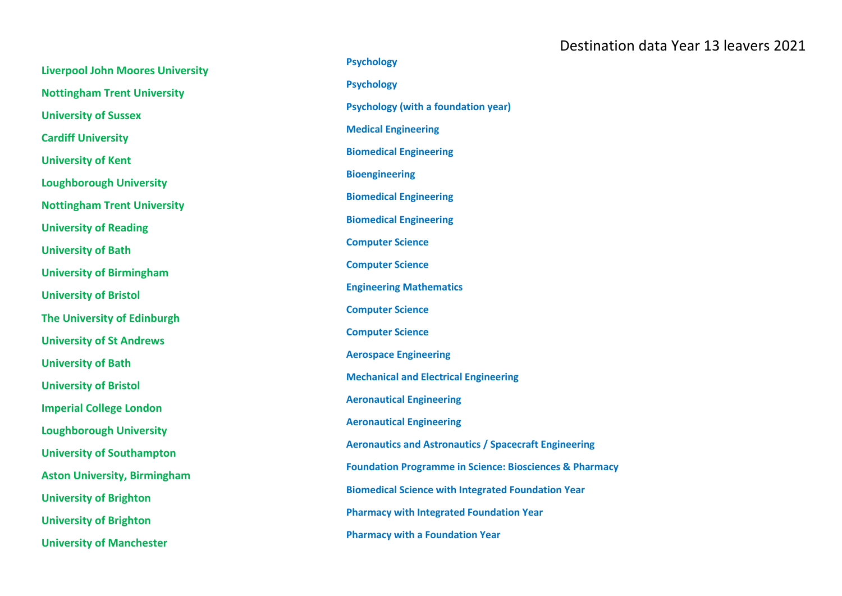| <b>Liverpool John Moores University</b> | <b>Psychology</b>                                                  |
|-----------------------------------------|--------------------------------------------------------------------|
|                                         | <b>Psychology</b>                                                  |
| <b>Nottingham Trent University</b>      | <b>Psychology (with a foundation year)</b>                         |
| <b>University of Sussex</b>             | <b>Medical Engineering</b>                                         |
| <b>Cardiff University</b>               |                                                                    |
| <b>University of Kent</b>               | <b>Biomedical Engineering</b>                                      |
| <b>Loughborough University</b>          | <b>Bioengineering</b>                                              |
| <b>Nottingham Trent University</b>      | <b>Biomedical Engineering</b>                                      |
| <b>University of Reading</b>            | <b>Biomedical Engineering</b>                                      |
| <b>University of Bath</b>               | <b>Computer Science</b>                                            |
|                                         | <b>Computer Science</b>                                            |
| <b>University of Birmingham</b>         | <b>Engineering Mathematics</b>                                     |
| <b>University of Bristol</b>            | <b>Computer Science</b>                                            |
| The University of Edinburgh             |                                                                    |
| <b>University of St Andrews</b>         | <b>Computer Science</b>                                            |
| <b>University of Bath</b>               | <b>Aerospace Engineering</b>                                       |
| <b>University of Bristol</b>            | <b>Mechanical and Electrical Engineering</b>                       |
| <b>Imperial College London</b>          | <b>Aeronautical Engineering</b>                                    |
|                                         | <b>Aeronautical Engineering</b>                                    |
| <b>Loughborough University</b>          | <b>Aeronautics and Astronautics / Spacecraft Engineering</b>       |
| <b>University of Southampton</b>        | <b>Foundation Programme in Science: Biosciences &amp; Pharmacy</b> |
| <b>Aston University, Birmingham</b>     |                                                                    |
| <b>University of Brighton</b>           | <b>Biomedical Science with Integrated Foundation Year</b>          |
| <b>University of Brighton</b>           | <b>Pharmacy with Integrated Foundation Year</b>                    |
| <b>University of Manchester</b>         | <b>Pharmacy with a Foundation Year</b>                             |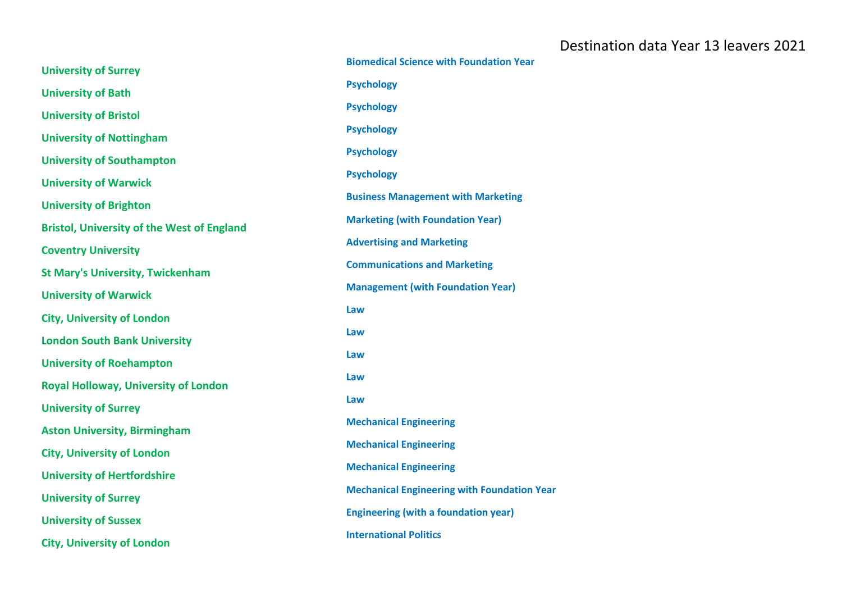| <b>University of Surrey</b>                       | <b>Biomedical Science with Foundation Year</b>     |
|---------------------------------------------------|----------------------------------------------------|
|                                                   | <b>Psychology</b>                                  |
| <b>University of Bath</b>                         | <b>Psychology</b>                                  |
| <b>University of Bristol</b>                      |                                                    |
| <b>University of Nottingham</b>                   | <b>Psychology</b>                                  |
| <b>University of Southampton</b>                  | <b>Psychology</b>                                  |
| <b>University of Warwick</b>                      | <b>Psychology</b>                                  |
| <b>University of Brighton</b>                     | <b>Business Management with Marketing</b>          |
| <b>Bristol, University of the West of England</b> | <b>Marketing (with Foundation Year)</b>            |
| <b>Coventry University</b>                        | <b>Advertising and Marketing</b>                   |
| <b>St Mary's University, Twickenham</b>           | <b>Communications and Marketing</b>                |
| <b>University of Warwick</b>                      | <b>Management (with Foundation Year)</b>           |
| <b>City, University of London</b>                 | Law                                                |
| <b>London South Bank University</b>               | Law                                                |
| <b>University of Roehampton</b>                   | Law                                                |
| <b>Royal Holloway, University of London</b>       | Law                                                |
| <b>University of Surrey</b>                       | Law                                                |
| <b>Aston University, Birmingham</b>               | <b>Mechanical Engineering</b>                      |
| <b>City, University of London</b>                 | <b>Mechanical Engineering</b>                      |
| <b>University of Hertfordshire</b>                | <b>Mechanical Engineering</b>                      |
| <b>University of Surrey</b>                       | <b>Mechanical Engineering with Foundation Year</b> |
|                                                   | <b>Engineering (with a foundation year)</b>        |
| <b>University of Sussex</b>                       | <b>International Politics</b>                      |
| <b>City, University of London</b>                 |                                                    |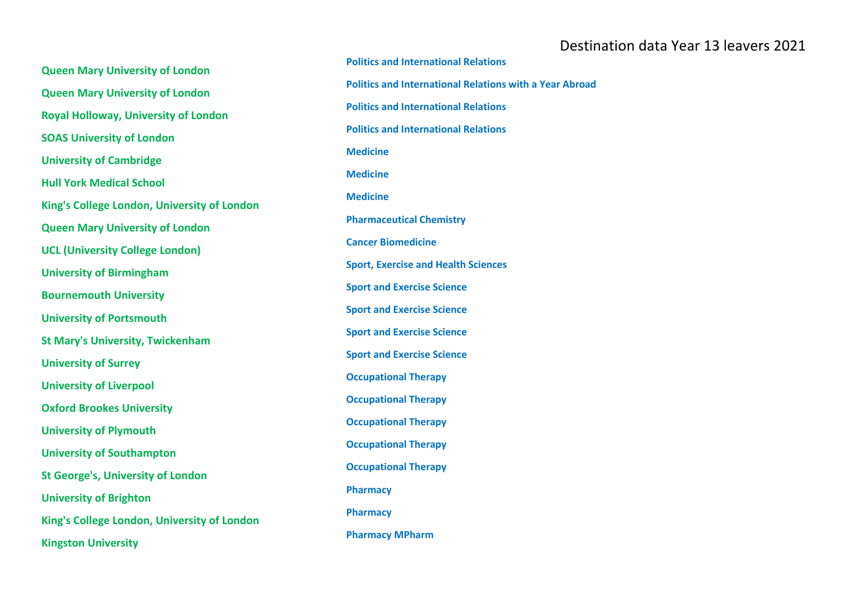**Queen Mary University of London Queen Mary University of London Royal Holloway, University of London SOAS University of London University of Cambridge Hull York Medical School King's College London, University of London Queen Mary University of London UCL (University College London) University of Birmingham Bournemouth University University of Portsmouth St Mary's University, Twickenham University of Surrey University of Liverpool Oxford Brookes University University of Plymouth University of Southampton St George's, University of London University of Brighton King's College London, University of London Kingston University**

**Politics and International Relations Politics and International Relations with a Year Abroad Politics and International Relations Politics and International Relations Medicine Medicine Medicine Pharmaceutical Chemistry Cancer Biomedicine Sport, Exercise and Health Sciences Sport and Exercise Science Sport and Exercise Science Sport and Exercise Science Sport and Exercise Science Occupational Therapy Occupational Therapy Occupational Therapy Occupational Therapy Occupational Therapy Pharmacy Pharmacy Pharmacy MPharm**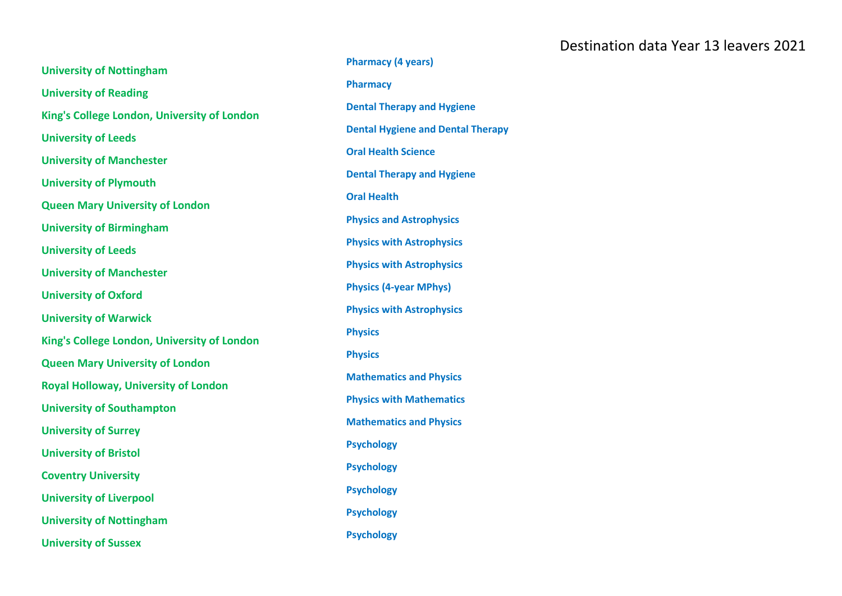| <b>University of Nottingham</b>             |
|---------------------------------------------|
| <b>University of Reading</b>                |
| King's College London, University of London |
| <b>University of Leeds</b>                  |
| <b>University of Manchester</b>             |
| <b>University of Plymouth</b>               |
| <b>Queen Mary University of London</b>      |
| <b>University of Birmingham</b>             |
| <b>University of Leeds</b>                  |
| <b>University of Manchester</b>             |
| <b>University of Oxford</b>                 |
| <b>University of Warwick</b>                |
| King's College London, University of London |
| <b>Queen Mary University of London</b>      |
| Royal Holloway, University of London        |
| <b>University of Southampton</b>            |
| <b>University of Surrey</b>                 |
| <b>University of Bristol</b>                |
| <b>Coventry University</b>                  |
| <b>University of Liverpool</b>              |
| <b>University of Nottingham</b>             |
| <b>University of Sussex</b>                 |

**Pharmacy (4 years) Pharmacy Dental Therapy and Hygiene Dental Hygiene and Dental Therapy Oral Health Science Dental Therapy and Hygiene Oral Health Physics and Astrophysics Physics with Astrophysics Physics with Astrophysics Physics (4 -year MPhys) Physics with Astrophysics Physics Physics Mathematics and Physics Physics with Mathematics Mathematics and Physics Psychology Psychology Psychology Psychology Psychology**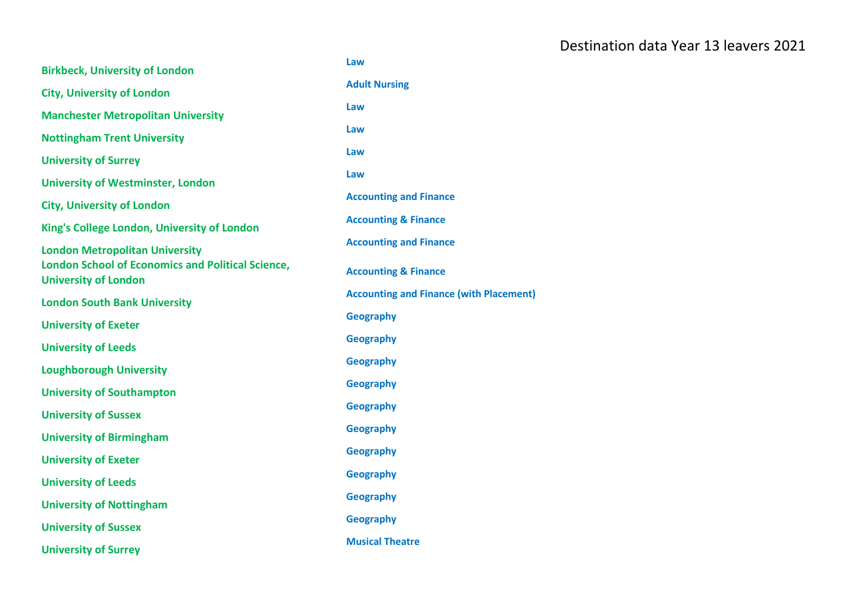| <b>Birkbeck, University of London</b>                                                   | Law                                            |
|-----------------------------------------------------------------------------------------|------------------------------------------------|
| <b>City, University of London</b>                                                       | <b>Adult Nursing</b>                           |
| <b>Manchester Metropolitan University</b>                                               | Law                                            |
| <b>Nottingham Trent University</b>                                                      | Law                                            |
| <b>University of Surrey</b>                                                             | Law                                            |
| <b>University of Westminster, London</b>                                                | Law                                            |
| <b>City, University of London</b>                                                       | <b>Accounting and Finance</b>                  |
| King's College London, University of London                                             | <b>Accounting &amp; Finance</b>                |
| <b>London Metropolitan University</b>                                                   | <b>Accounting and Finance</b>                  |
| <b>London School of Economics and Political Science,</b><br><b>University of London</b> | <b>Accounting &amp; Finance</b>                |
| <b>London South Bank University</b>                                                     | <b>Accounting and Finance (with Placement)</b> |
| <b>University of Exeter</b>                                                             | <b>Geography</b>                               |
| <b>University of Leeds</b>                                                              | <b>Geography</b>                               |
| <b>Loughborough University</b>                                                          | <b>Geography</b>                               |
| <b>University of Southampton</b>                                                        | <b>Geography</b>                               |
| <b>University of Sussex</b>                                                             | <b>Geography</b>                               |
| <b>University of Birmingham</b>                                                         | <b>Geography</b>                               |
| <b>University of Exeter</b>                                                             | Geography                                      |
| <b>University of Leeds</b>                                                              | <b>Geography</b>                               |
| <b>University of Nottingham</b>                                                         | Geography                                      |
| <b>University of Sussex</b>                                                             | <b>Geography</b>                               |
| <b>University of Surrey</b>                                                             | <b>Musical Theatre</b>                         |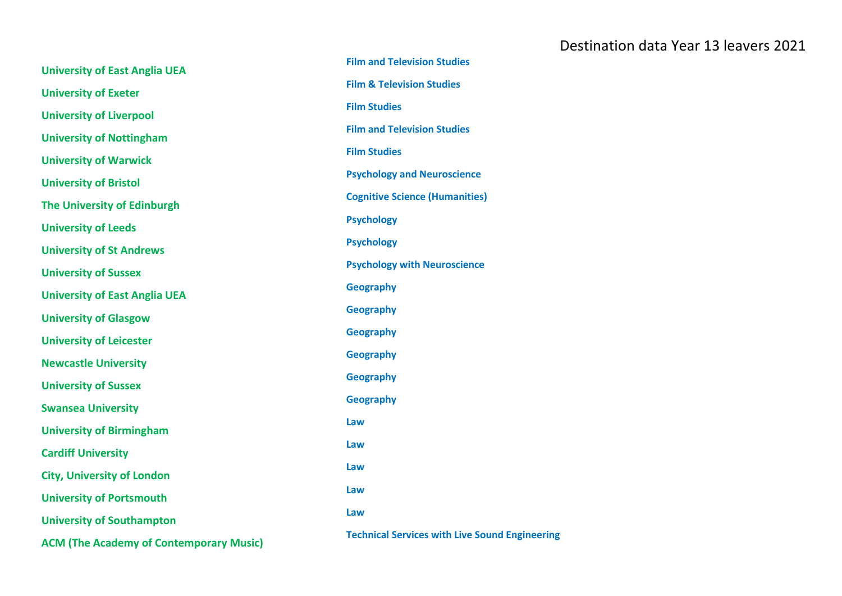| <b>University of East Anglia UEA</b>           | <b>Film and Television Studies</b>                    |
|------------------------------------------------|-------------------------------------------------------|
| <b>University of Exeter</b>                    | <b>Film &amp; Television Studies</b>                  |
|                                                | <b>Film Studies</b>                                   |
| <b>University of Liverpool</b>                 | <b>Film and Television Studies</b>                    |
| <b>University of Nottingham</b>                | <b>Film Studies</b>                                   |
| <b>University of Warwick</b>                   |                                                       |
| <b>University of Bristol</b>                   | <b>Psychology and Neuroscience</b>                    |
| The University of Edinburgh                    | <b>Cognitive Science (Humanities)</b>                 |
| <b>University of Leeds</b>                     | <b>Psychology</b>                                     |
| <b>University of St Andrews</b>                | <b>Psychology</b>                                     |
| <b>University of Sussex</b>                    | <b>Psychology with Neuroscience</b>                   |
| <b>University of East Anglia UEA</b>           | <b>Geography</b>                                      |
| <b>University of Glasgow</b>                   | <b>Geography</b>                                      |
|                                                | <b>Geography</b>                                      |
| <b>University of Leicester</b>                 | Geography                                             |
| <b>Newcastle University</b>                    | Geography                                             |
| <b>University of Sussex</b>                    |                                                       |
| <b>Swansea University</b>                      | <b>Geography</b>                                      |
| <b>University of Birmingham</b>                | Law                                                   |
| <b>Cardiff University</b>                      | Law                                                   |
| <b>City, University of London</b>              | Law                                                   |
| <b>University of Portsmouth</b>                | Law                                                   |
|                                                | Law                                                   |
| <b>University of Southampton</b>               | <b>Technical Services with Live Sound Engineering</b> |
| <b>ACM (The Academy of Contemporary Music)</b> |                                                       |